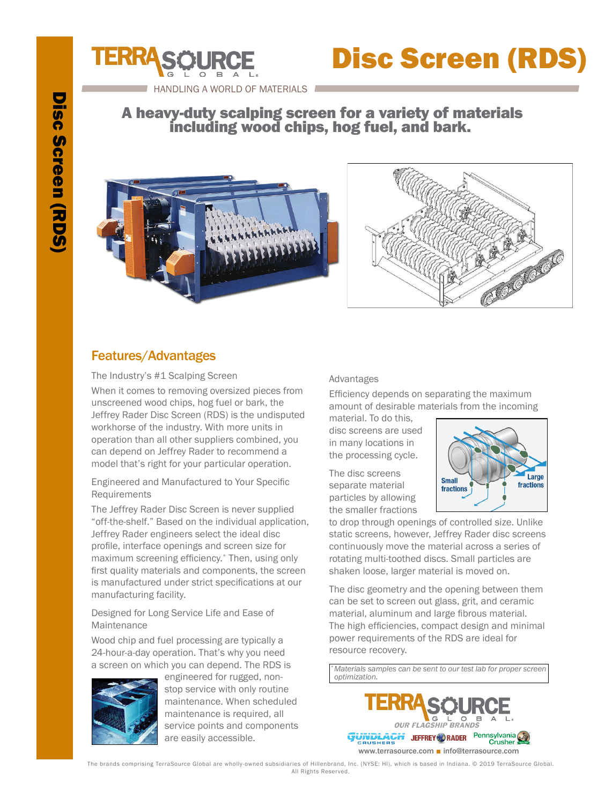

## A heavy-duty scalping screen for a variety of materials including wood chips, hog fuel, and bark.



HANDLING A WORLD OF MATERIALS



# Features/Advantages

The Industry's #1 Scalping Screen

When it comes to removing oversized pieces from unscreened wood chips, hog fuel or bark, the Jeffrey Rader Disc Screen (RDS) is the undisputed workhorse of the industry. With more units in operation than all other suppliers combined, you can depend on Jeffrey Rader to recommend a model that's right for your particular operation.

Engineered and Manufactured to Your Specific Requirements

The Jeffrey Rader Disc Screen is never supplied "off-the-shelf." Based on the individual application, Jeffrey Rader engineers select the ideal disc profile, interface openings and screen size for maximum screening efficiency.\* Then, using only first quality materials and components, the screen is manufactured under strict specifications at our manufacturing facility.

Designed for Long Service Life and Ease of Maintenance

Wood chip and fuel processing are typically a 24-hour-a-day operation. That's why you need a screen on which you can depend. The RDS is



engineered for rugged, nonstop service with only routine maintenance. When scheduled maintenance is required, all service points and components are easily accessible.

#### Advantages

Efficiency depends on separating the maximum amount of desirable materials from the incoming

material. To do this, disc screens are used in many locations in the processing cycle.

The disc screens separate material particles by allowing the smaller fractions



to drop through openings of controlled size. Unlike static screens, however, Jeffrey Rader disc screens continuously move the material across a series of rotating multi-toothed discs. Small particles are shaken loose, larger material is moved on.

The disc geometry and the opening between them can be set to screen out glass, grit, and ceramic material, aluminum and large fibrous material. The high efficiencies, compact design and minimal power requirements of the RDS are ideal for resource recovery.

*\*Materials samples can be sent to our test lab for proper screen optimization.*



The brands comprising TerraSource Global are wholly-owned subsidiaries of Hillenbrand, Inc. (NYSE: HI), which is based in Indiana. © 2019 TerraSource Global. All Rights Reserved.